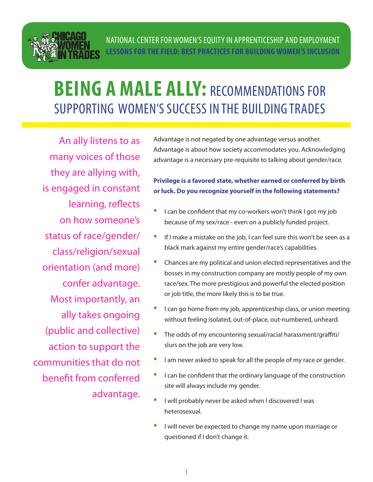

# **BEING A MALE ALLY: RECOMMENDATIONS FOR** SUPPORTING WOMEN'S SUCCESS IN THE BUILDING TRADES

An ally listens to as many voices of those they are allying with, is engaged in constant learning, reflects on how someone's status of race/gender/ class/religion/sexual orientation (and more) confer advantage. Most importantly, an ally takes ongoing (public and collective) action to support the communities that do not benefit from conferred advantage. Advantage is not negated by one advantage versus another. Advantage is about how society accommodates you. Acknowledging advantage is a necessary pre-requisite to talking about gender/race.

#### **Privilege is a favored state, whether earned or conferred by birth or luck. Do you recognize yourself in the following statements?**

- I can be confident that my co-workers won't think I got my job because of my sex/race - even on a publicly funded project.
- If I make a mistake on the job, I can feel sure this won't be seen as a black mark against my entire gender/race's capabilities.
- Chances are my political and union elected representatives and the bosses in my construction company are mostly people of my own race/sex. The more prestigious and powerful the elected position or job title, the more likely this is to be true.
- **I can go home from my job, apprenticeship class, or union meeting** without feeling isolated, out-of-place, out-numbered, unheard.
- The odds of my encountering sexual/racial harassment/graffiti/ slurs on the job are very low.
- I am never asked to speak for all the people of my race or gender.
- I can be confident that the ordinary language of the construction site will always include my gender.
- I will probably never be asked when I discovered I was heterosexual.
- I will never be expected to change my name upon marriage or questioned if I don't change it.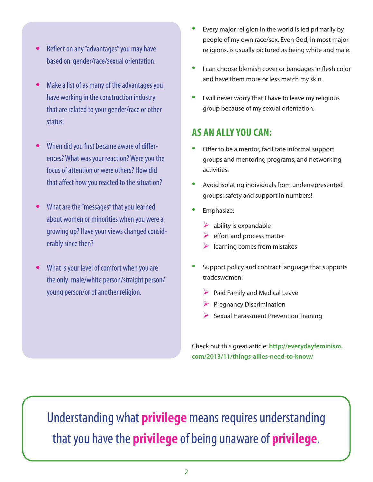- **•**  Reflect on any "advantages" you may have based on gender/race/sexual orientation.
- Make a list of as many of the advantages you have working in the construction industry that are related to your gender/race or other status.
- **•**  When did you first became aware of differences? What was your reaction? Were you the focus of attention or were others? How did that affect how you reacted to the situation?
- **•**  What are the "messages" that you learned about women or minorities when you were a growing up? Have your views changed considerably since then?
- **What is your level of comfort when you are** the only: male/white person/straight person/ young person/or of another religion.
- Every major religion in the world is led primarily by people of my own race/sex. Even God, in most major religions, is usually pictured as being white and male.
- **•** I can choose blemish cover or bandages in flesh color and have them more or less match my skin.
- I will never worry that I have to leave my religious group because of my sexual orientation.

#### **AS AN ALLY YOU CAN:**

- Offer to be a mentor, facilitate informal support groups and mentoring programs, and networking activities.
- Avoid isolating individuals from underrepresented groups: safety and support in numbers!
- **Emphasize:** 
	- $\triangleright$  ability is expandable
	- $\triangleright$  effort and process matter
	- $\blacktriangleright$  learning comes from mistakes
- Support policy and contract language that supports tradeswomen:
	- $\triangleright$  Paid Family and Medical Leave
	- $\triangleright$  Pregnancy Discrimination
	- $\triangleright$  Sexual Harassment Prevention Training

Check out this great article: **http://everydayfeminism. com/2013/11/things-allies-need-to-know/**

Understanding what **privilege** means requires understanding that you have the **privilege** of being unaware of **privilege**.